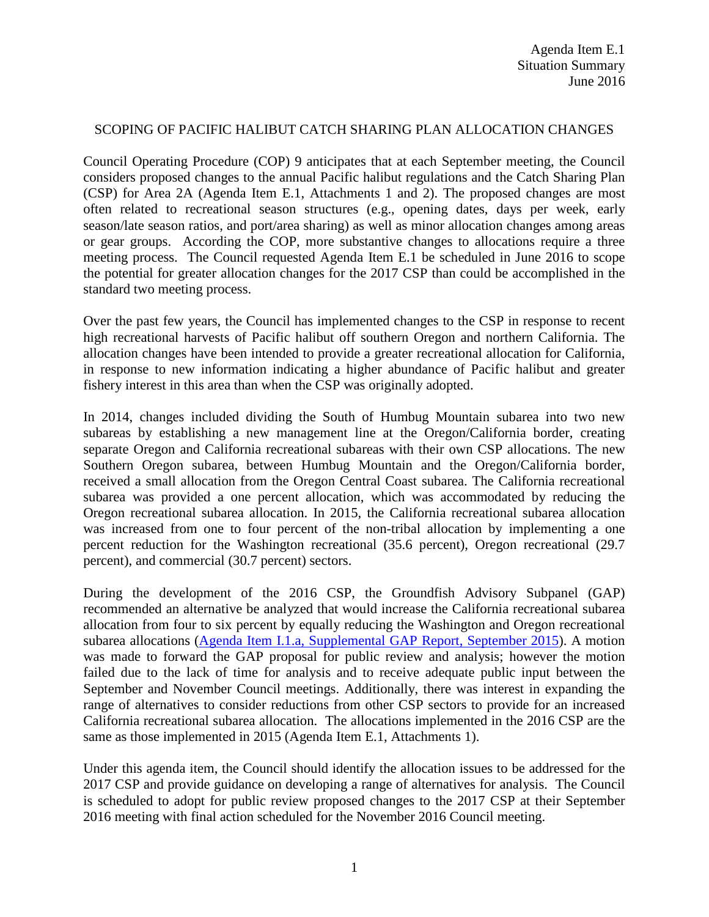# SCOPING OF PACIFIC HALIBUT CATCH SHARING PLAN ALLOCATION CHANGES

Council Operating Procedure (COP) 9 anticipates that at each September meeting, the Council considers proposed changes to the annual Pacific halibut regulations and the Catch Sharing Plan (CSP) for Area 2A (Agenda Item E.1, Attachments 1 and 2). The proposed changes are most often related to recreational season structures (e.g., opening dates, days per week, early season/late season ratios, and port/area sharing) as well as minor allocation changes among areas or gear groups. According the COP, more substantive changes to allocations require a three meeting process. The Council requested Agenda Item E.1 be scheduled in June 2016 to scope the potential for greater allocation changes for the 2017 CSP than could be accomplished in the standard two meeting process.

Over the past few years, the Council has implemented changes to the CSP in response to recent high recreational harvests of Pacific halibut off southern Oregon and northern California. The allocation changes have been intended to provide a greater recreational allocation for California, in response to new information indicating a higher abundance of Pacific halibut and greater fishery interest in this area than when the CSP was originally adopted.

In 2014, changes included dividing the South of Humbug Mountain subarea into two new subareas by establishing a new management line at the Oregon/California border, creating separate Oregon and California recreational subareas with their own CSP allocations. The new Southern Oregon subarea, between Humbug Mountain and the Oregon/California border, received a small allocation from the Oregon Central Coast subarea. The California recreational subarea was provided a one percent allocation, which was accommodated by reducing the Oregon recreational subarea allocation. In 2015, the California recreational subarea allocation was increased from one to four percent of the non-tribal allocation by implementing a one percent reduction for the Washington recreational (35.6 percent), Oregon recreational (29.7 percent), and commercial (30.7 percent) sectors.

During the development of the 2016 CSP, the Groundfish Advisory Subpanel (GAP) recommended an alternative be analyzed that would increase the California recreational subarea allocation from four to six percent by equally reducing the Washington and Oregon recreational subarea allocations [\(Agenda Item I.1.a, Supplemental GAP Report, September 2015\)](http://www.pcouncil.org/wp-content/uploads/2015/09/I1a_SUP_GAP_Rpt_SEPT2015BB.pdf). A motion was made to forward the GAP proposal for public review and analysis; however the motion failed due to the lack of time for analysis and to receive adequate public input between the September and November Council meetings. Additionally, there was interest in expanding the range of alternatives to consider reductions from other CSP sectors to provide for an increased California recreational subarea allocation. The allocations implemented in the 2016 CSP are the same as those implemented in 2015 (Agenda Item E.1, Attachments 1).

Under this agenda item, the Council should identify the allocation issues to be addressed for the 2017 CSP and provide guidance on developing a range of alternatives for analysis. The Council is scheduled to adopt for public review proposed changes to the 2017 CSP at their September 2016 meeting with final action scheduled for the November 2016 Council meeting.